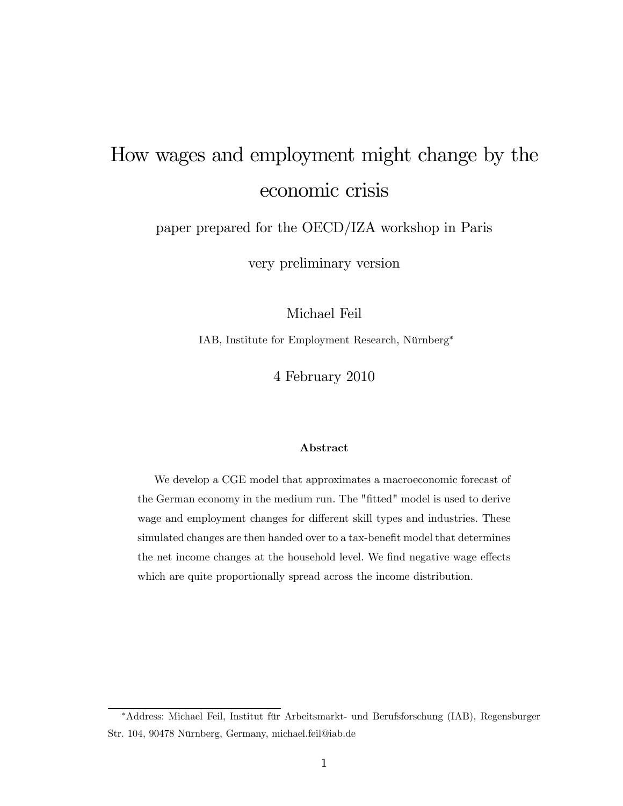# How wages and employment might change by the economic crisis

paper prepared for the OECD/IZA workshop in Paris

very preliminary version

Michael Feil

IAB, Institute for Employment Research, Nürnberg\*

4 February 2010

#### Abstract

We develop a CGE model that approximates a macroeconomic forecast of the German economy in the medium run. The "fitted" model is used to derive wage and employment changes for different skill types and industries. These simulated changes are then handed over to a tax-benefit model that determines the net income changes at the household level. We find negative wage effects which are quite proportionally spread across the income distribution.

<sup>\*</sup>Address: Michael Feil, Institut für Arbeitsmarkt- und Berufsforschung (IAB), Regensburger Str. 104, 90478 Nürnberg, Germany, michael.feil@iab.de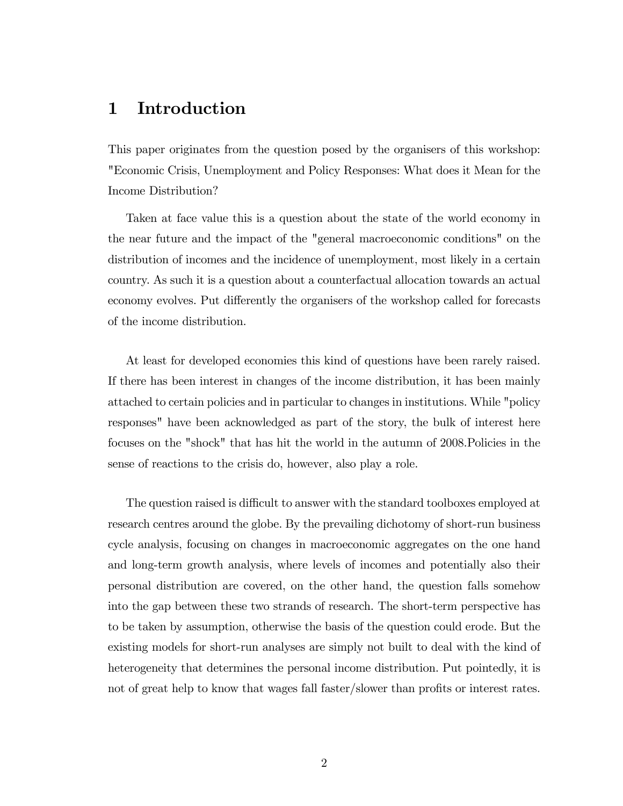## 1 Introduction

This paper originates from the question posed by the organisers of this workshop: "Economic Crisis, Unemployment and Policy Responses: What does it Mean for the Income Distribution?

Taken at face value this is a question about the state of the world economy in the near future and the impact of the "general macroeconomic conditions" on the distribution of incomes and the incidence of unemployment, most likely in a certain country. As such it is a question about a counterfactual allocation towards an actual economy evolves. Put differently the organisers of the workshop called for forecasts of the income distribution.

At least for developed economies this kind of questions have been rarely raised. If there has been interest in changes of the income distribution, it has been mainly attached to certain policies and in particular to changes in institutions. While "policy responses" have been acknowledged as part of the story, the bulk of interest here focuses on the "shock" that has hit the world in the autumn of 2008.Policies in the sense of reactions to the crisis do, however, also play a role.

The question raised is difficult to answer with the standard toolboxes employed at research centres around the globe. By the prevailing dichotomy of short-run business cycle analysis, focusing on changes in macroeconomic aggregates on the one hand and long-term growth analysis, where levels of incomes and potentially also their personal distribution are covered, on the other hand, the question falls somehow into the gap between these two strands of research. The short-term perspective has to be taken by assumption, otherwise the basis of the question could erode. But the existing models for short-run analyses are simply not built to deal with the kind of heterogeneity that determines the personal income distribution. Put pointedly, it is not of great help to know that wages fall faster/slower than profits or interest rates.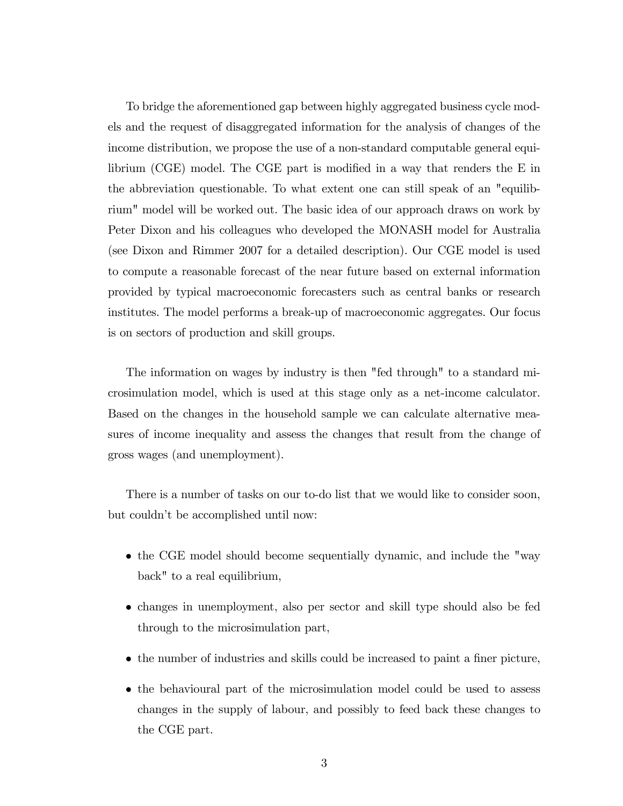To bridge the aforementioned gap between highly aggregated business cycle models and the request of disaggregated information for the analysis of changes of the income distribution, we propose the use of a non-standard computable general equilibrium (CGE) model. The CGE part is modified in a way that renders the  $E$  in the abbreviation questionable. To what extent one can still speak of an "equilibrium" model will be worked out. The basic idea of our approach draws on work by Peter Dixon and his colleagues who developed the MONASH model for Australia (see Dixon and Rimmer 2007 for a detailed description). Our CGE model is used to compute a reasonable forecast of the near future based on external information provided by typical macroeconomic forecasters such as central banks or research institutes. The model performs a break-up of macroeconomic aggregates. Our focus is on sectors of production and skill groups.

The information on wages by industry is then "fed through" to a standard microsimulation model, which is used at this stage only as a net-income calculator. Based on the changes in the household sample we can calculate alternative measures of income inequality and assess the changes that result from the change of gross wages (and unemployment).

There is a number of tasks on our to-do list that we would like to consider soon, but couldn't be accomplished until now:

- the CGE model should become sequentially dynamic, and include the "way back" to a real equilibrium,
- changes in unemployment, also per sector and skill type should also be fed through to the microsimulation part,
- $\bullet$  the number of industries and skills could be increased to paint a finer picture,
- the behavioural part of the microsimulation model could be used to assess changes in the supply of labour, and possibly to feed back these changes to the CGE part.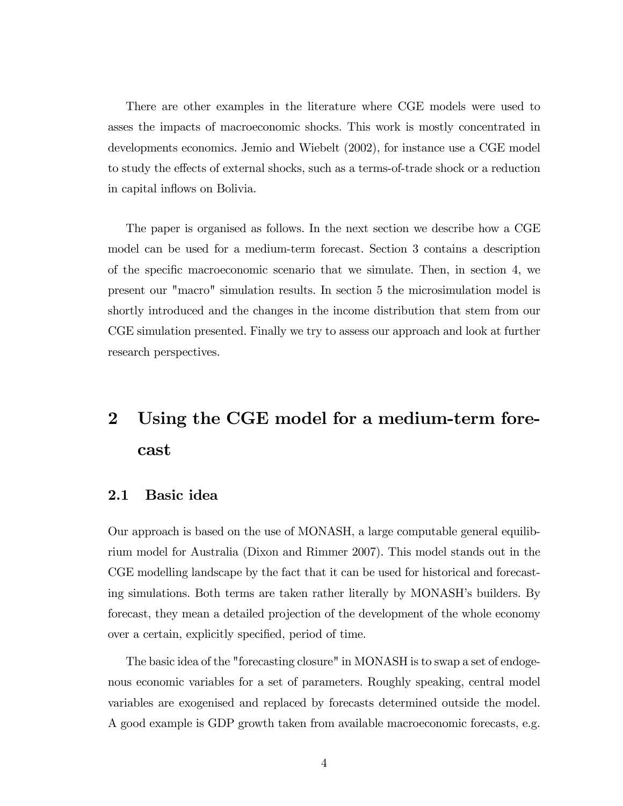There are other examples in the literature where CGE models were used to asses the impacts of macroeconomic shocks. This work is mostly concentrated in developments economics. Jemio and Wiebelt (2002), for instance use a CGE model to study the effects of external shocks, such as a terms-of-trade shock or a reduction in capital inflows on Bolivia.

The paper is organised as follows. In the next section we describe how a CGE model can be used for a medium-term forecast. Section 3 contains a description of the specific macroeconomic scenario that we simulate. Then, in section 4, we present our "macro" simulation results. In section 5 the microsimulation model is shortly introduced and the changes in the income distribution that stem from our CGE simulation presented. Finally we try to assess our approach and look at further research perspectives.

## 2 Using the CGE model for a medium-term forecast

#### 2.1 Basic idea

Our approach is based on the use of MONASH, a large computable general equilibrium model for Australia (Dixon and Rimmer 2007). This model stands out in the CGE modelling landscape by the fact that it can be used for historical and forecasting simulations. Both terms are taken rather literally by MONASH's builders. By forecast, they mean a detailed projection of the development of the whole economy over a certain, explicitly specified, period of time.

The basic idea of the "forecasting closure" in MONASH is to swap a set of endogenous economic variables for a set of parameters. Roughly speaking, central model variables are exogenised and replaced by forecasts determined outside the model. A good example is GDP growth taken from available macroeconomic forecasts, e.g.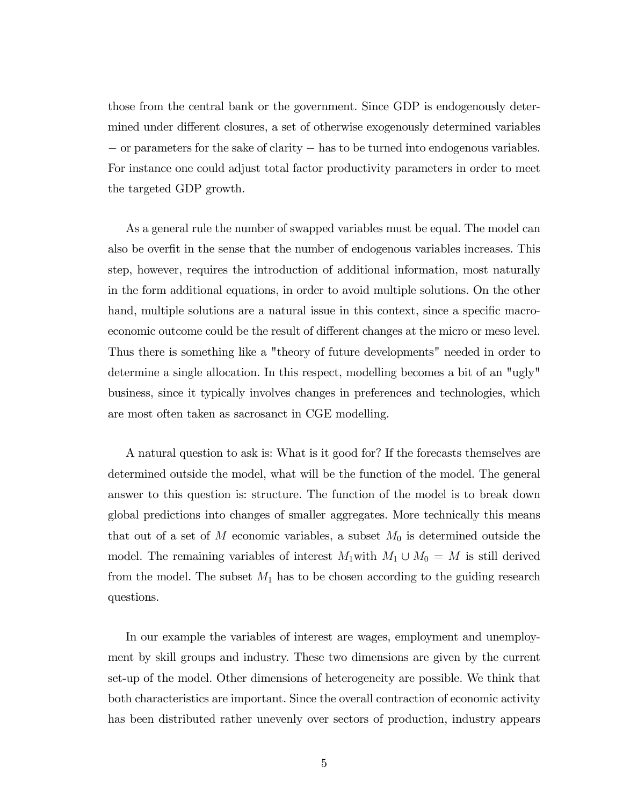those from the central bank or the government. Since GDP is endogenously determined under different closures, a set of otherwise exogenously determined variables  $\sim$  or parameters for the sake of clarity  $\sim$  has to be turned into endogenous variables. For instance one could adjust total factor productivity parameters in order to meet the targeted GDP growth.

As a general rule the number of swapped variables must be equal. The model can also be overfit in the sense that the number of endogenous variables increases. This step, however, requires the introduction of additional information, most naturally in the form additional equations, in order to avoid multiple solutions. On the other hand, multiple solutions are a natural issue in this context, since a specific macroeconomic outcome could be the result of different changes at the micro or meso level. Thus there is something like a "theory of future developments" needed in order to determine a single allocation. In this respect, modelling becomes a bit of an "ugly" business, since it typically involves changes in preferences and technologies, which are most often taken as sacrosanct in CGE modelling.

A natural question to ask is: What is it good for? If the forecasts themselves are determined outside the model, what will be the function of the model. The general answer to this question is: structure. The function of the model is to break down global predictions into changes of smaller aggregates. More technically this means that out of a set of M economic variables, a subset  $M_0$  is determined outside the model. The remaining variables of interest  $M_1$  with  $M_1 \cup M_0 = M$  is still derived from the model. The subset  $M_1$  has to be chosen according to the guiding research questions.

In our example the variables of interest are wages, employment and unemployment by skill groups and industry. These two dimensions are given by the current set-up of the model. Other dimensions of heterogeneity are possible. We think that both characteristics are important. Since the overall contraction of economic activity has been distributed rather unevenly over sectors of production, industry appears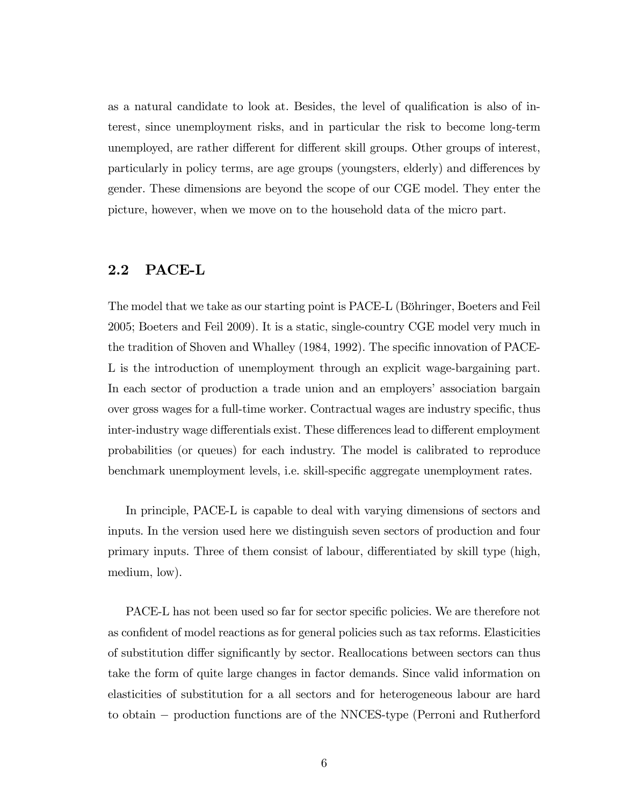as a natural candidate to look at. Besides, the level of qualification is also of interest, since unemployment risks, and in particular the risk to become long-term unemployed, are rather different for different skill groups. Other groups of interest, particularly in policy terms, are age groups (youngsters, elderly) and differences by gender. These dimensions are beyond the scope of our CGE model. They enter the picture, however, when we move on to the household data of the micro part.

#### 2.2 PACE-L

The model that we take as our starting point is PACE-L (Böhringer, Boeters and Feil 2005; Boeters and Feil 2009). It is a static, single-country CGE model very much in the tradition of Shoven and Whalley (1984, 1992). The specific innovation of PACE-L is the introduction of unemployment through an explicit wage-bargaining part. In each sector of production a trade union and an employers' association bargain over gross wages for a full-time worker. Contractual wages are industry specific, thus inter-industry wage differentials exist. These differences lead to different employment probabilities (or queues) for each industry. The model is calibrated to reproduce benchmark unemployment levels, i.e. skill-specific aggregate unemployment rates.

In principle, PACE-L is capable to deal with varying dimensions of sectors and inputs. In the version used here we distinguish seven sectors of production and four primary inputs. Three of them consist of labour, differentiated by skill type (high, medium, low).

PACE-L has not been used so far for sector specific policies. We are therefore not as confident of model reactions as for general policies such as tax reforms. Elasticities of substitution differ significantly by sector. Reallocations between sectors can thus take the form of quite large changes in factor demands. Since valid information on elasticities of substitution for a all sectors and for heterogeneous labour are hard to obtain production functions are of the NNCES-type (Perroni and Rutherford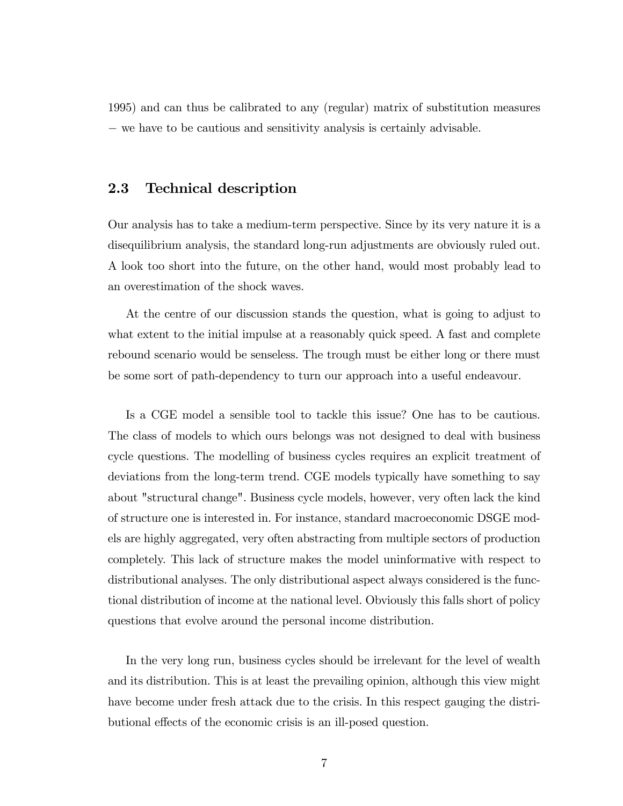1995) and can thus be calibrated to any (regular) matrix of substitution measures - we have to be cautious and sensitivity analysis is certainly advisable.

#### 2.3 Technical description

Our analysis has to take a medium-term perspective. Since by its very nature it is a disequilibrium analysis, the standard long-run adjustments are obviously ruled out. A look too short into the future, on the other hand, would most probably lead to an overestimation of the shock waves.

At the centre of our discussion stands the question, what is going to adjust to what extent to the initial impulse at a reasonably quick speed. A fast and complete rebound scenario would be senseless. The trough must be either long or there must be some sort of path-dependency to turn our approach into a useful endeavour.

Is a CGE model a sensible tool to tackle this issue? One has to be cautious. The class of models to which ours belongs was not designed to deal with business cycle questions. The modelling of business cycles requires an explicit treatment of deviations from the long-term trend. CGE models typically have something to say about "structural change". Business cycle models, however, very often lack the kind of structure one is interested in. For instance, standard macroeconomic DSGE models are highly aggregated, very often abstracting from multiple sectors of production completely. This lack of structure makes the model uninformative with respect to distributional analyses. The only distributional aspect always considered is the functional distribution of income at the national level. Obviously this falls short of policy questions that evolve around the personal income distribution.

In the very long run, business cycles should be irrelevant for the level of wealth and its distribution. This is at least the prevailing opinion, although this view might have become under fresh attack due to the crisis. In this respect gauging the distributional effects of the economic crisis is an ill-posed question.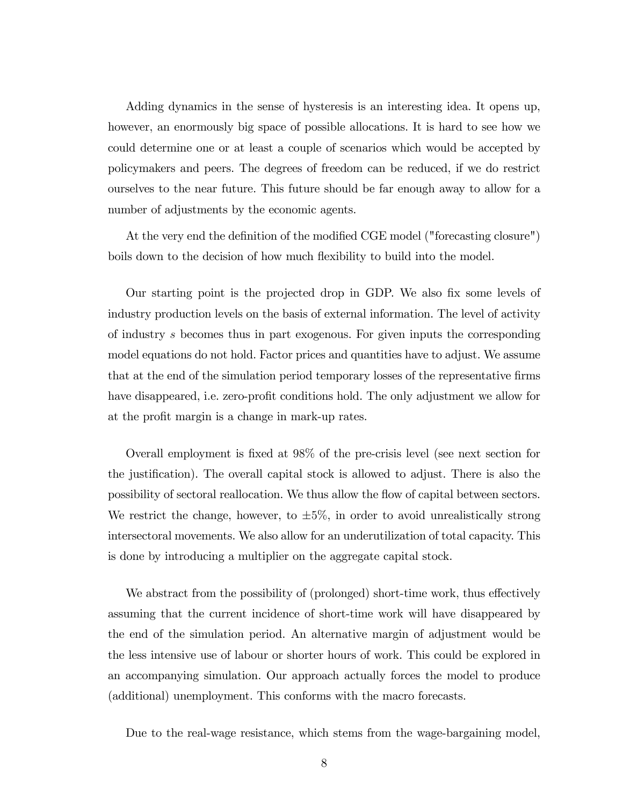Adding dynamics in the sense of hysteresis is an interesting idea. It opens up, however, an enormously big space of possible allocations. It is hard to see how we could determine one or at least a couple of scenarios which would be accepted by policymakers and peers. The degrees of freedom can be reduced, if we do restrict ourselves to the near future. This future should be far enough away to allow for a number of adjustments by the economic agents.

At the very end the definition of the modified CGE model ("forecasting closure") boils down to the decision of how much flexibility to build into the model.

Our starting point is the projected drop in GDP. We also fix some levels of industry production levels on the basis of external information. The level of activity of industry s becomes thus in part exogenous. For given inputs the corresponding model equations do not hold. Factor prices and quantities have to adjust. We assume that at the end of the simulation period temporary losses of the representative firms have disappeared, i.e. zero-profit conditions hold. The only adjustment we allow for at the profit margin is a change in mark-up rates.

Overall employment is fixed at 98% of the pre-crisis level (see next section for the justification). The overall capital stock is allowed to adjust. There is also the possibility of sectoral reallocation. We thus allow the áow of capital between sectors. We restrict the change, however, to  $\pm 5\%$ , in order to avoid unrealistically strong intersectoral movements. We also allow for an underutilization of total capacity. This is done by introducing a multiplier on the aggregate capital stock.

We abstract from the possibility of (prolonged) short-time work, thus effectively assuming that the current incidence of short-time work will have disappeared by the end of the simulation period. An alternative margin of adjustment would be the less intensive use of labour or shorter hours of work. This could be explored in an accompanying simulation. Our approach actually forces the model to produce (additional) unemployment. This conforms with the macro forecasts.

Due to the real-wage resistance, which stems from the wage-bargaining model,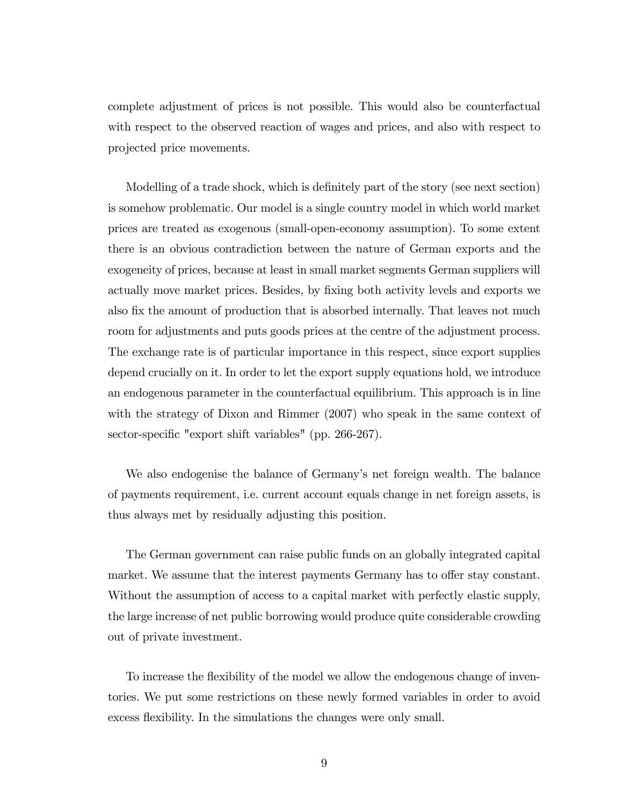complete adjustment of prices is not possible. This would also be counterfactual with respect to the observed reaction of wages and prices, and also with respect to projected price movements.

Modelling of a trade shock, which is definitely part of the story (see next section) is somehow problematic. Our model is a single country model in which world market prices are treated as exogenous (small-open-economy assumption). To some extent there is an obvious contradiction between the nature of German exports and the exogeneity of prices, because at least in small market segments German suppliers will actually move market prices. Besides, by fixing both activity levels and exports we also fix the amount of production that is absorbed internally. That leaves not much room for adjustments and puts goods prices at the centre of the adjustment process. The exchange rate is of particular importance in this respect, since export supplies depend crucially on it. In order to let the export supply equations hold, we introduce an endogenous parameter in the counterfactual equilibrium. This approach is in line with the strategy of Dixon and Rimmer (2007) who speak in the same context of sector-specific "export shift variables" (pp. 266-267).

We also endogenise the balance of Germany's net foreign wealth. The balance of payments requirement, i.e. current account equals change in net foreign assets, is thus always met by residually adjusting this position.

The German government can raise public funds on an globally integrated capital market. We assume that the interest payments Germany has to offer stay constant. Without the assumption of access to a capital market with perfectly elastic supply, the large increase of net public borrowing would produce quite considerable crowding out of private investment.

To increase the flexibility of the model we allow the endogenous change of inventories. We put some restrictions on these newly formed variables in order to avoid excess flexibility. In the simulations the changes were only small.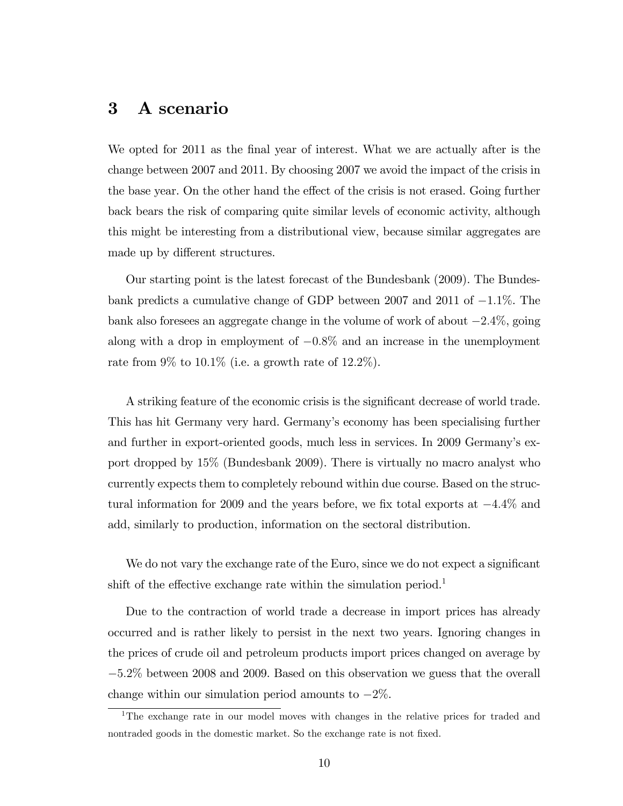### 3 A scenario

We opted for 2011 as the final year of interest. What we are actually after is the change between 2007 and 2011. By choosing 2007 we avoid the impact of the crisis in the base year. On the other hand the effect of the crisis is not erased. Going further back bears the risk of comparing quite similar levels of economic activity, although this might be interesting from a distributional view, because similar aggregates are made up by different structures.

Our starting point is the latest forecast of the Bundesbank (2009). The Bundesbank predicts a cumulative change of GDP between 2007 and 2011 of  $-1.1\%$ . The bank also foresees an aggregate change in the volume of work of about  $-2.4\%$ , going along with a drop in employment of  $-0.8\%$  and an increase in the unemployment rate from  $9\%$  to  $10.1\%$  (i.e. a growth rate of  $12.2\%$ ).

A striking feature of the economic crisis is the significant decrease of world trade. This has hit Germany very hard. Germanyís economy has been specialising further and further in export-oriented goods, much less in services. In 2009 Germany's export dropped by 15% (Bundesbank 2009). There is virtually no macro analyst who currently expects them to completely rebound within due course. Based on the structural information for 2009 and the years before, we fix total exports at  $-4.4\%$  and add, similarly to production, information on the sectoral distribution.

We do not vary the exchange rate of the Euro, since we do not expect a significant shift of the effective exchange rate within the simulation period.<sup>1</sup>

Due to the contraction of world trade a decrease in import prices has already occurred and is rather likely to persist in the next two years. Ignoring changes in the prices of crude oil and petroleum products import prices changed on average by  $-5.2\%$  between 2008 and 2009. Based on this observation we guess that the overall change within our simulation period amounts to  $-2\%$ .

<sup>&</sup>lt;sup>1</sup>The exchange rate in our model moves with changes in the relative prices for traded and nontraded goods in the domestic market. So the exchange rate is not fixed.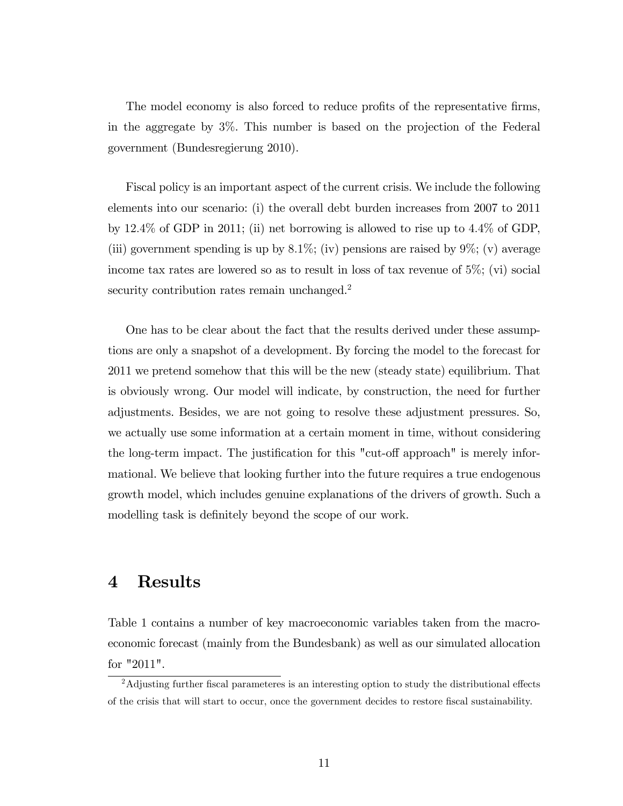The model economy is also forced to reduce profits of the representative firms, in the aggregate by 3%. This number is based on the projection of the Federal government (Bundesregierung 2010).

Fiscal policy is an important aspect of the current crisis. We include the following elements into our scenario: (i) the overall debt burden increases from 2007 to 2011 by  $12.4\%$  of GDP in 2011; (ii) net borrowing is allowed to rise up to  $4.4\%$  of GDP, (iii) government spending is up by 8.1%; (iv) pensions are raised by  $9\%$ ; (v) average income tax rates are lowered so as to result in loss of tax revenue of 5%; (vi) social security contribution rates remain unchanged.<sup>2</sup>

One has to be clear about the fact that the results derived under these assumptions are only a snapshot of a development. By forcing the model to the forecast for 2011 we pretend somehow that this will be the new (steady state) equilibrium. That is obviously wrong. Our model will indicate, by construction, the need for further adjustments. Besides, we are not going to resolve these adjustment pressures. So, we actually use some information at a certain moment in time, without considering the long-term impact. The justification for this "cut-off approach" is merely informational. We believe that looking further into the future requires a true endogenous growth model, which includes genuine explanations of the drivers of growth. Such a modelling task is definitely beyond the scope of our work.

## 4 Results

Table 1 contains a number of key macroeconomic variables taken from the macroeconomic forecast (mainly from the Bundesbank) as well as our simulated allocation for "2011".

 $2$ Adjusting further fiscal parameteres is an interesting option to study the distributional effects of the crisis that will start to occur, once the government decides to restore Öscal sustainability.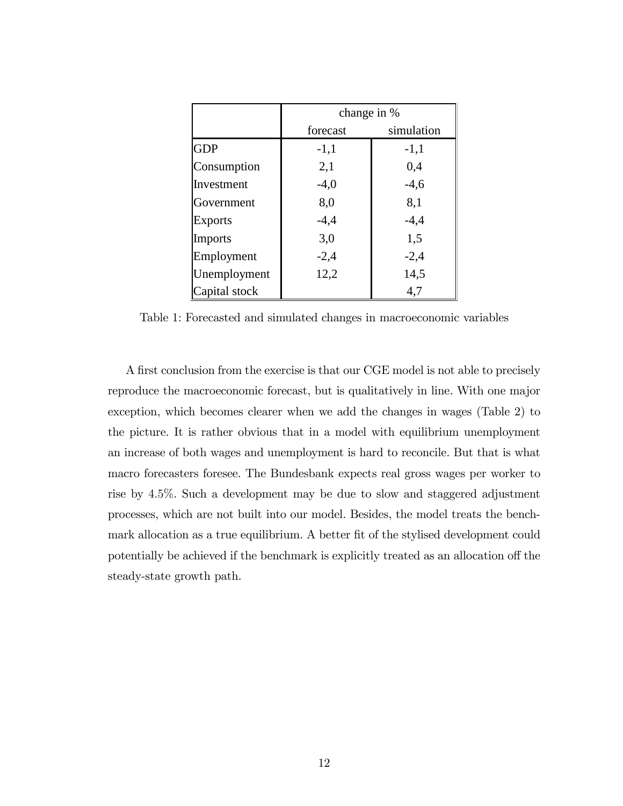|                | change in % |            |  |  |  |
|----------------|-------------|------------|--|--|--|
|                | forecast    | simulation |  |  |  |
| <b>GDP</b>     | $-1,1$      | $-1,1$     |  |  |  |
| Consumption    | 2,1         | 0,4        |  |  |  |
| Investment     | $-4,0$      | $-4,6$     |  |  |  |
| Government     | 8,0         | 8,1        |  |  |  |
| <b>Exports</b> | $-4,4$      | $-4,4$     |  |  |  |
| <b>Imports</b> | 3,0         | 1,5        |  |  |  |
| Employment     | $-2,4$      | $-2,4$     |  |  |  |
| Unemployment   | 12,2        | 14,5       |  |  |  |
| Capital stock  |             | 4,7        |  |  |  |

Table 1: Forecasted and simulated changes in macroeconomic variables

A first conclusion from the exercise is that our CGE model is not able to precisely reproduce the macroeconomic forecast, but is qualitatively in line. With one major exception, which becomes clearer when we add the changes in wages (Table 2) to the picture. It is rather obvious that in a model with equilibrium unemployment an increase of both wages and unemployment is hard to reconcile. But that is what macro forecasters foresee. The Bundesbank expects real gross wages per worker to rise by 4:5%. Such a development may be due to slow and staggered adjustment processes, which are not built into our model. Besides, the model treats the benchmark allocation as a true equilibrium. A better fit of the stylised development could potentially be achieved if the benchmark is explicitly treated as an allocation off the steady-state growth path.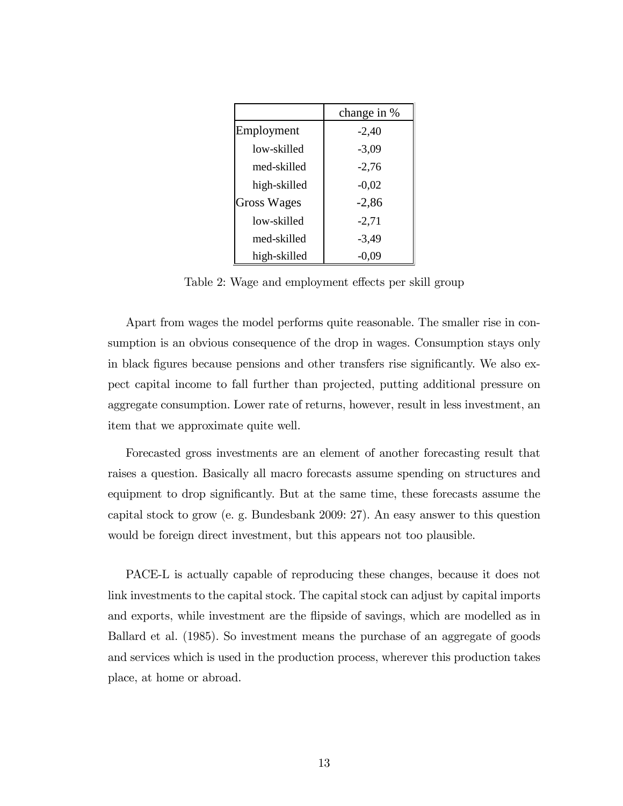|                    | change in % |  |  |
|--------------------|-------------|--|--|
| Employment         | $-2,40$     |  |  |
| low-skilled        | $-3,09$     |  |  |
| med-skilled        | $-2,76$     |  |  |
| high-skilled       | $-0,02$     |  |  |
| <b>Gross Wages</b> | $-2,86$     |  |  |
| low-skilled        | $-2,71$     |  |  |
| med-skilled        | $-3,49$     |  |  |
| high-skilled       | $-0,09$     |  |  |

Table 2: Wage and employment effects per skill group

Apart from wages the model performs quite reasonable. The smaller rise in consumption is an obvious consequence of the drop in wages. Consumption stays only in black figures because pensions and other transfers rise significantly. We also expect capital income to fall further than projected, putting additional pressure on aggregate consumption. Lower rate of returns, however, result in less investment, an item that we approximate quite well.

Forecasted gross investments are an element of another forecasting result that raises a question. Basically all macro forecasts assume spending on structures and equipment to drop significantly. But at the same time, these forecasts assume the capital stock to grow (e. g. Bundesbank 2009: 27). An easy answer to this question would be foreign direct investment, but this appears not too plausible.

PACE-L is actually capable of reproducing these changes, because it does not link investments to the capital stock. The capital stock can adjust by capital imports and exports, while investment are the flipside of savings, which are modelled as in Ballard et al. (1985). So investment means the purchase of an aggregate of goods and services which is used in the production process, wherever this production takes place, at home or abroad.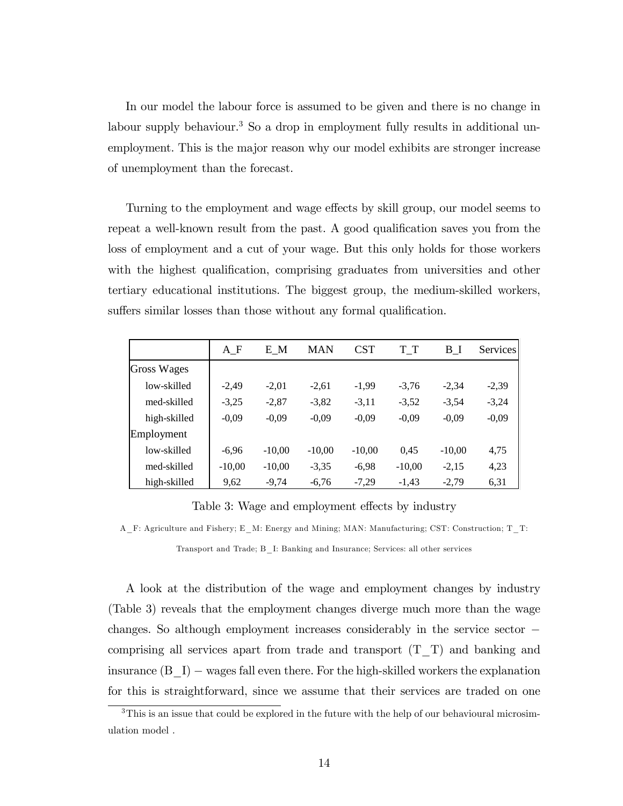In our model the labour force is assumed to be given and there is no change in labour supply behaviour.<sup>3</sup> So a drop in employment fully results in additional unemployment. This is the major reason why our model exhibits are stronger increase of unemployment than the forecast.

Turning to the employment and wage effects by skill group, our model seems to repeat a well-known result from the past. A good qualification saves you from the loss of employment and a cut of your wage. But this only holds for those workers with the highest qualification, comprising graduates from universities and other tertiary educational institutions. The biggest group, the medium-skilled workers, suffers similar losses than those without any formal qualification.

|                    | $A_F$    | E M      | <b>MAN</b> | <b>CST</b> | T T      | B I      | <b>Services</b> |
|--------------------|----------|----------|------------|------------|----------|----------|-----------------|
| <b>Gross Wages</b> |          |          |            |            |          |          |                 |
| low-skilled        | $-2.49$  | $-2,01$  | $-2,61$    | $-1,99$    | $-3,76$  | $-2,34$  | $-2,39$         |
| med-skilled        | $-3,25$  | $-2,87$  | $-3,82$    | $-3,11$    | $-3,52$  | $-3,54$  | $-3,24$         |
| high-skilled       | $-0,09$  | $-0,09$  | $-0,09$    | $-0,09$    | $-0,09$  | $-0,09$  | $-0,09$         |
| Employment         |          |          |            |            |          |          |                 |
| low-skilled        | $-6,96$  | $-10,00$ | $-10,00$   | $-10,00$   | 0,45     | $-10,00$ | 4,75            |
| med-skilled        | $-10,00$ | $-10,00$ | $-3,35$    | $-6,98$    | $-10,00$ | $-2,15$  | 4,23            |
| high-skilled       | 9,62     | $-9,74$  | $-6,76$    | $-7,29$    | $-1,43$  | $-2,79$  | 6,31            |

Table 3: Wage and employment effects by industry

A\_F: Agriculture and Fishery; E\_M: Energy and Mining; MAN: Manufacturing; CST: Construction; T\_T:

Transport and Trade; B\_I: Banking and Insurance; Services: all other services

A look at the distribution of the wage and employment changes by industry (Table 3) reveals that the employment changes diverge much more than the wage changes. So although employment increases considerably in the service sector comprising all services apart from trade and transport  $(T_T)$  and banking and insurance  $(B_I)$  – wages fall even there. For the high-skilled workers the explanation for this is straightforward, since we assume that their services are traded on one

<sup>&</sup>lt;sup>3</sup>This is an issue that could be explored in the future with the help of our behavioural microsimulation model .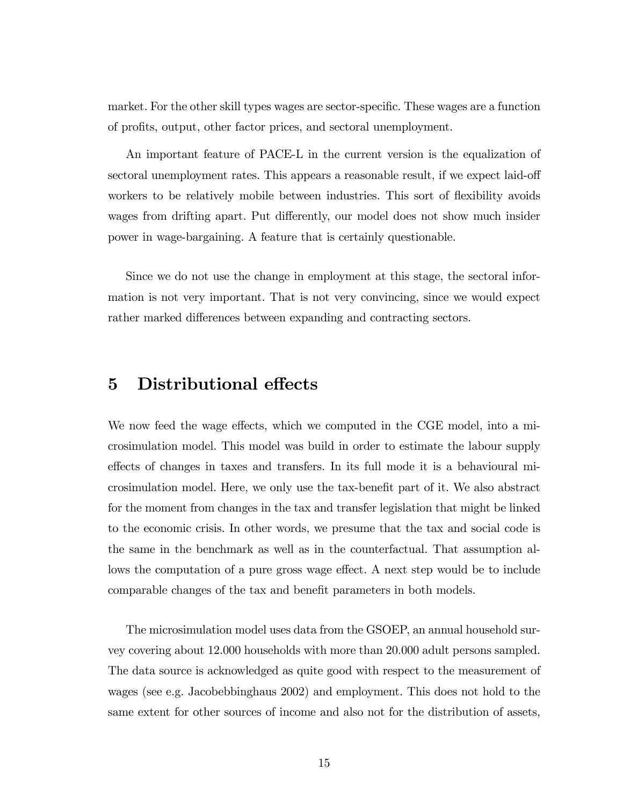market. For the other skill types wages are sector-specific. These wages are a function of profits, output, other factor prices, and sectoral unemployment.

An important feature of PACE-L in the current version is the equalization of sectoral unemployment rates. This appears a reasonable result, if we expect laid-off workers to be relatively mobile between industries. This sort of flexibility avoids wages from drifting apart. Put differently, our model does not show much insider power in wage-bargaining. A feature that is certainly questionable.

Since we do not use the change in employment at this stage, the sectoral information is not very important. That is not very convincing, since we would expect rather marked differences between expanding and contracting sectors.

## 5 Distributional effects

We now feed the wage effects, which we computed in the CGE model, into a microsimulation model. This model was build in order to estimate the labour supply effects of changes in taxes and transfers. In its full mode it is a behavioural microsimulation model. Here, we only use the tax-benefit part of it. We also abstract for the moment from changes in the tax and transfer legislation that might be linked to the economic crisis. In other words, we presume that the tax and social code is the same in the benchmark as well as in the counterfactual. That assumption allows the computation of a pure gross wage effect. A next step would be to include comparable changes of the tax and benefit parameters in both models.

The microsimulation model uses data from the GSOEP, an annual household survey covering about 12.000 households with more than 20.000 adult persons sampled. The data source is acknowledged as quite good with respect to the measurement of wages (see e.g. Jacobebbinghaus 2002) and employment. This does not hold to the same extent for other sources of income and also not for the distribution of assets,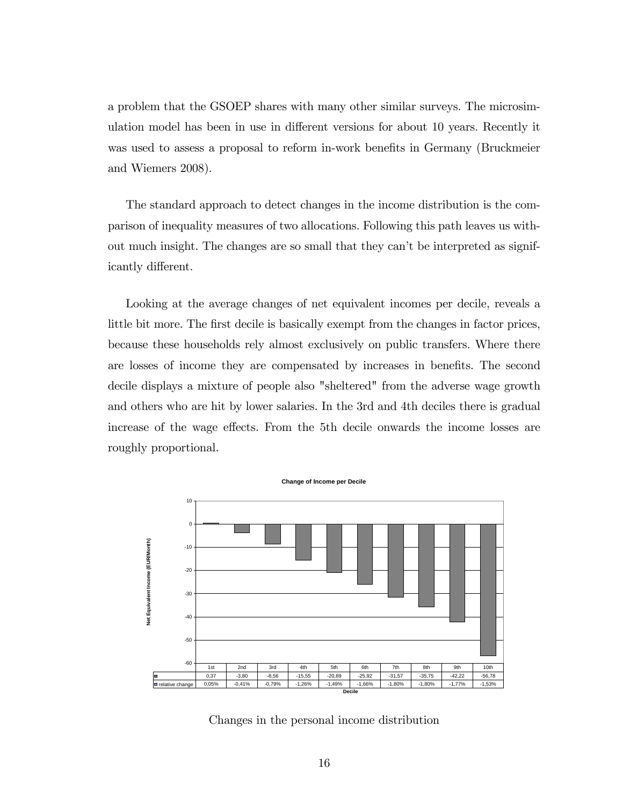a problem that the GSOEP shares with many other similar surveys. The microsimulation model has been in use in different versions for about 10 years. Recently it was used to assess a proposal to reform in-work benefits in Germany (Bruckmeier and Wiemers 2008).

The standard approach to detect changes in the income distribution is the comparison of inequality measures of two allocations. Following this path leaves us without much insight. The changes are so small that they can't be interpreted as significantly different.

Looking at the average changes of net equivalent incomes per decile, reveals a little bit more. The first decile is basically exempt from the changes in factor prices, because these households rely almost exclusively on public transfers. Where there are losses of income they are compensated by increases in benefits. The second decile displays a mixture of people also "sheltered" from the adverse wage growth and others who are hit by lower salaries. In the 3rd and 4th deciles there is gradual increase of the wage effects. From the 5th decile onwards the income losses are roughly proportional.



Changes in the personal income distribution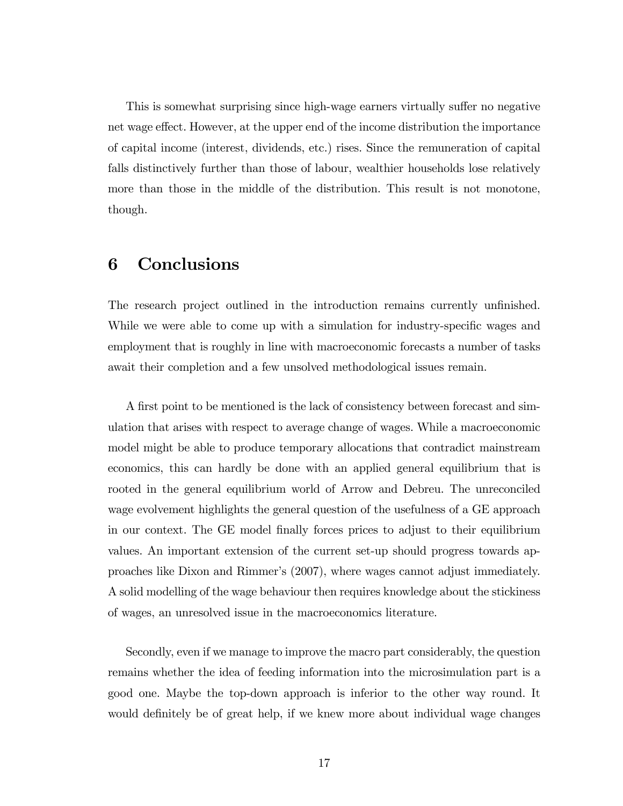This is somewhat surprising since high-wage earners virtually suffer no negative net wage effect. However, at the upper end of the income distribution the importance of capital income (interest, dividends, etc.) rises. Since the remuneration of capital falls distinctively further than those of labour, wealthier households lose relatively more than those in the middle of the distribution. This result is not monotone, though.

## 6 Conclusions

The research project outlined in the introduction remains currently unfinished. While we were able to come up with a simulation for industry-specific wages and employment that is roughly in line with macroeconomic forecasts a number of tasks await their completion and a few unsolved methodological issues remain.

A first point to be mentioned is the lack of consistency between forecast and simulation that arises with respect to average change of wages. While a macroeconomic model might be able to produce temporary allocations that contradict mainstream economics, this can hardly be done with an applied general equilibrium that is rooted in the general equilibrium world of Arrow and Debreu. The unreconciled wage evolvement highlights the general question of the usefulness of a GE approach in our context. The GE model finally forces prices to adjust to their equilibrium values. An important extension of the current set-up should progress towards approaches like Dixon and Rimmerís (2007), where wages cannot adjust immediately. A solid modelling of the wage behaviour then requires knowledge about the stickiness of wages, an unresolved issue in the macroeconomics literature.

Secondly, even if we manage to improve the macro part considerably, the question remains whether the idea of feeding information into the microsimulation part is a good one. Maybe the top-down approach is inferior to the other way round. It would definitely be of great help, if we knew more about individual wage changes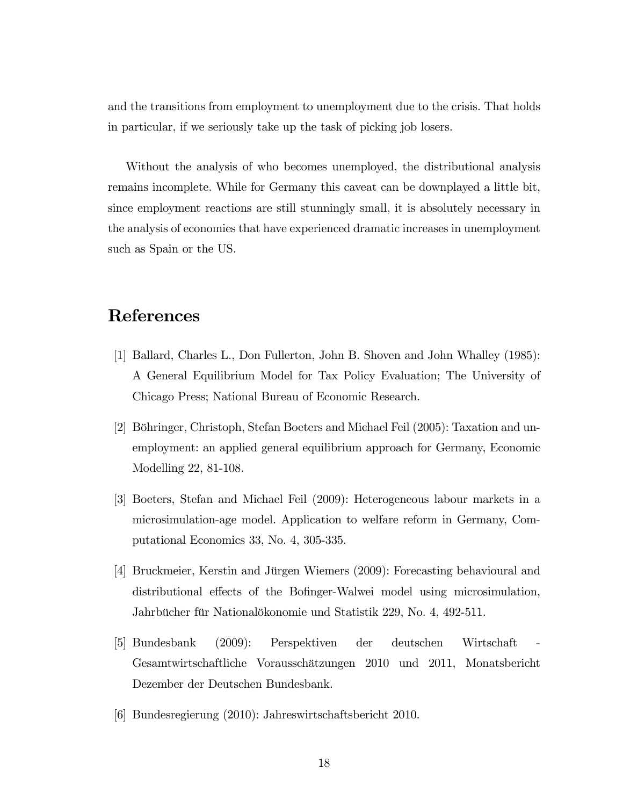and the transitions from employment to unemployment due to the crisis. That holds in particular, if we seriously take up the task of picking job losers.

Without the analysis of who becomes unemployed, the distributional analysis remains incomplete. While for Germany this caveat can be downplayed a little bit, since employment reactions are still stunningly small, it is absolutely necessary in the analysis of economies that have experienced dramatic increases in unemployment such as Spain or the US.

## References

- [1] Ballard, Charles L., Don Fullerton, John B. Shoven and John Whalley (1985): A General Equilibrium Model for Tax Policy Evaluation; The University of Chicago Press; National Bureau of Economic Research.
- [2] Böhringer, Christoph, Stefan Boeters and Michael Feil (2005): Taxation and unemployment: an applied general equilibrium approach for Germany, Economic Modelling 22, 81-108.
- [3] Boeters, Stefan and Michael Feil (2009): Heterogeneous labour markets in a microsimulation-age model. Application to welfare reform in Germany, Computational Economics 33, No. 4, 305-335.
- [4] Bruckmeier, Kerstin and Jürgen Wiemers (2009): Forecasting behavioural and distributional effects of the Bofinger-Walwei model using microsimulation, Jahrbücher für Nationalökonomie und Statistik 229, No. 4, 492-511.
- [5] Bundesbank (2009): Perspektiven der deutschen Wirtschaft Gesamtwirtschaftliche Voraussch‰tzungen 2010 und 2011, Monatsbericht Dezember der Deutschen Bundesbank.
- [6] Bundesregierung (2010): Jahreswirtschaftsbericht 2010.